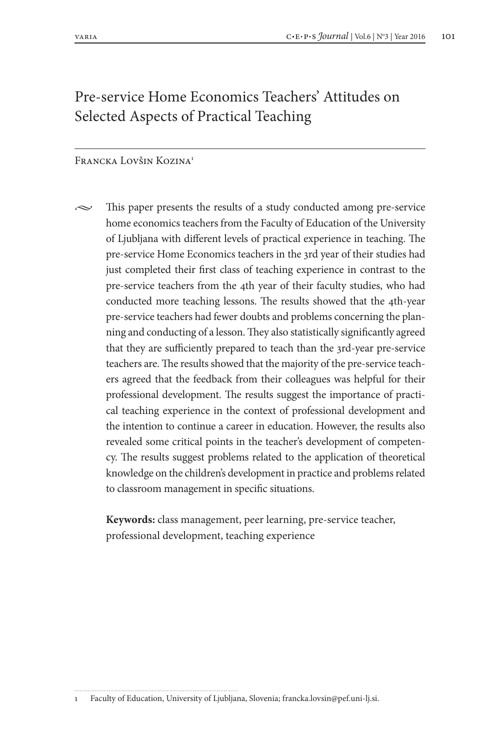# Pre-service Home Economics Teachers' Attitudes on Selected Aspects of Practical Teaching

#### Francka Lovšin Kozina1

 $\sim$  This paper presents the results of a study conducted among pre-service home economics teachers from the Faculty of Education of the University of Ljubljana with different levels of practical experience in teaching. The pre-service Home Economics teachers in the 3rd year of their studies had just completed their first class of teaching experience in contrast to the pre-service teachers from the 4th year of their faculty studies, who had conducted more teaching lessons. The results showed that the 4th-year pre-service teachers had fewer doubts and problems concerning the planning and conducting of a lesson. They also statistically significantly agreed that they are sufficiently prepared to teach than the 3rd-year pre-service teachers are. The results showed that the majority of the pre-service teachers agreed that the feedback from their colleagues was helpful for their professional development. The results suggest the importance of practical teaching experience in the context of professional development and the intention to continue a career in education. However, the results also revealed some critical points in the teacher's development of competency. The results suggest problems related to the application of theoretical knowledge on the children's development in practice and problems related to classroom management in specific situations.

**Keywords:** class management, peer learning, pre-service teacher, professional development, teaching experience

<sup>1</sup> Faculty of Education, University of Ljubljana, Slovenia; francka.lovsin@pef.uni-lj.si.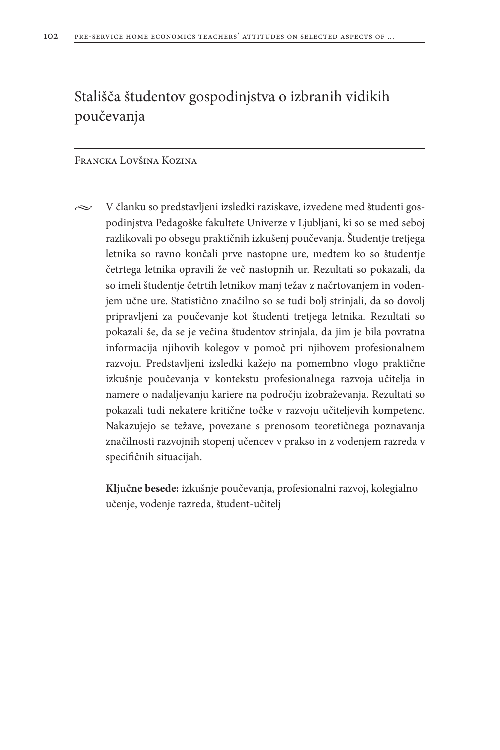# Stališča študentov gospodinjstva o izbranih vidikih poučevanja

#### Francka Lovšina Kozina

• V članku so predstavljeni izsledki raziskave, izvedene med študenti gospodinjstva Pedagoške fakultete Univerze v Ljubljani, ki so se med seboj razlikovali po obsegu praktičnih izkušenj poučevanja. Študentje tretjega letnika so ravno končali prve nastopne ure, medtem ko so študentje četrtega letnika opravili že več nastopnih ur. Rezultati so pokazali, da so imeli študentje četrtih letnikov manj težav z načrtovanjem in vodenjem učne ure. Statistično značilno so se tudi bolj strinjali, da so dovolj pripravljeni za poučevanje kot študenti tretjega letnika. Rezultati so pokazali še, da se je večina študentov strinjala, da jim je bila povratna informacija njihovih kolegov v pomoč pri njihovem profesionalnem razvoju. Predstavljeni izsledki kažejo na pomembno vlogo praktične izkušnje poučevanja v kontekstu profesionalnega razvoja učitelja in namere o nadaljevanju kariere na področju izobraževanja. Rezultati so pokazali tudi nekatere kritične točke v razvoju učiteljevih kompetenc. Nakazujejo se težave, povezane s prenosom teoretičnega poznavanja značilnosti razvojnih stopenj učencev v prakso in z vodenjem razreda v specifičnih situacijah.

**Ključne besede:** izkušnje poučevanja, profesionalni razvoj, kolegialno učenje, vodenje razreda, študent-učitelj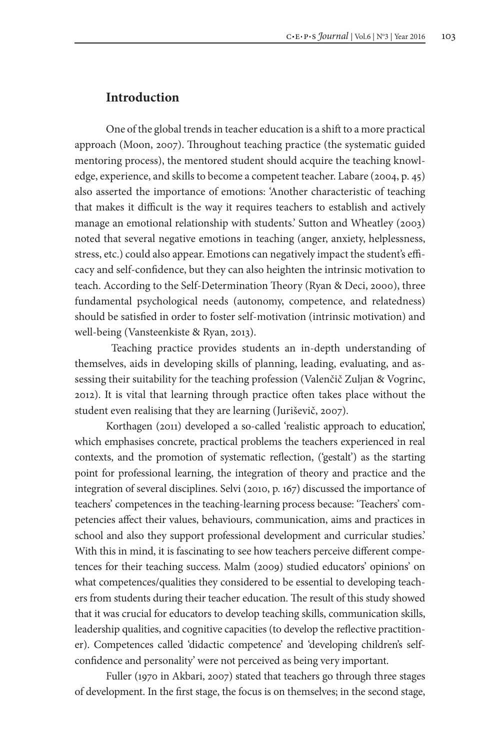### **Introduction**

One of the global trends in teacher education is a shift to a more practical approach (Moon, 2007). Throughout teaching practice (the systematic guided mentoring process), the mentored student should acquire the teaching knowledge, experience, and skills to become a competent teacher. Labare (2004, p. 45) also asserted the importance of emotions: 'Another characteristic of teaching that makes it difficult is the way it requires teachers to establish and actively manage an emotional relationship with students.' Sutton and Wheatley (2003) noted that several negative emotions in teaching (anger, anxiety, helplessness, stress, etc.) could also appear. Emotions can negatively impact the student's efficacy and self-confidence, but they can also heighten the intrinsic motivation to teach. According to the Self-Determination Theory (Ryan & Deci, 2000), three fundamental psychological needs (autonomy, competence, and relatedness) should be satisfied in order to foster self-motivation (intrinsic motivation) and well-being (Vansteenkiste & Ryan, 2013).

 Teaching practice provides students an in-depth understanding of themselves, aids in developing skills of planning, leading, evaluating, and assessing their suitability for the teaching profession (Valenčič Zuljan & Vogrinc, 2012). It is vital that learning through practice often takes place without the student even realising that they are learning (Juriševič, 2007).

Korthagen (2011) developed a so-called 'realistic approach to education', which emphasises concrete, practical problems the teachers experienced in real contexts, and the promotion of systematic reflection, ('gestalt') as the starting point for professional learning, the integration of theory and practice and the integration of several disciplines. Selvi (2010, p. 167) discussed the importance of teachers' competences in the teaching-learning process because: 'Teachers' competencies affect their values, behaviours, communication, aims and practices in school and also they support professional development and curricular studies.' With this in mind, it is fascinating to see how teachers perceive different competences for their teaching success. Malm (2009) studied educators' opinions' on what competences/qualities they considered to be essential to developing teachers from students during their teacher education. The result of this study showed that it was crucial for educators to develop teaching skills, communication skills, leadership qualities, and cognitive capacities (to develop the reflective practitioner). Competences called 'didactic competence' and 'developing children's selfconfidence and personality' were not perceived as being very important.

Fuller (1970 in Akbari, 2007) stated that teachers go through three stages of development. In the first stage, the focus is on themselves; in the second stage,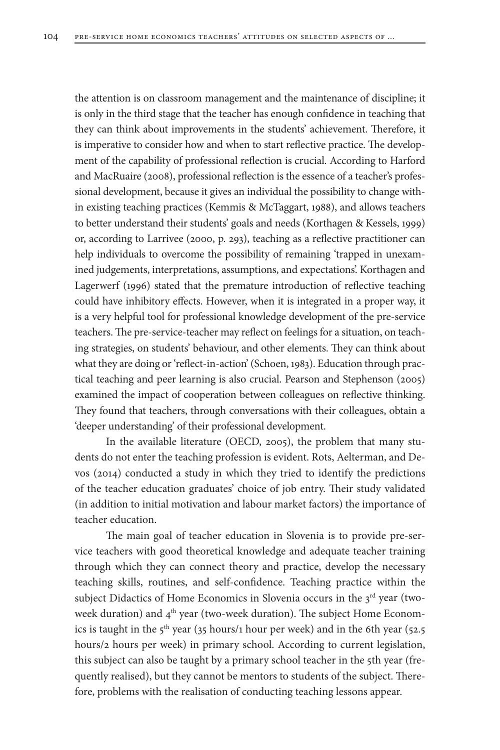the attention is on classroom management and the maintenance of discipline; it is only in the third stage that the teacher has enough confidence in teaching that they can think about improvements in the students' achievement. Therefore, it is imperative to consider how and when to start reflective practice. The development of the capability of professional reflection is crucial. According to Harford and MacRuaire (2008), professional reflection is the essence of a teacher's professional development, because it gives an individual the possibility to change within existing teaching practices (Kemmis & McTaggart, 1988), and allows teachers to better understand their students' goals and needs (Korthagen & Kessels, 1999) or, according to Larrivee (2000, p. 293), teaching as a reflective practitioner can help individuals to overcome the possibility of remaining 'trapped in unexamined judgements, interpretations, assumptions, and expectations'. Korthagen and Lagerwerf (1996) stated that the premature introduction of reflective teaching could have inhibitory effects. However, when it is integrated in a proper way, it is a very helpful tool for professional knowledge development of the pre-service teachers. The pre-service-teacher may reflect on feelings for a situation, on teaching strategies, on students' behaviour, and other elements. They can think about what they are doing or 'reflect-in-action' (Schoen, 1983). Education through practical teaching and peer learning is also crucial. Pearson and Stephenson (2005) examined the impact of cooperation between colleagues on reflective thinking. They found that teachers, through conversations with their colleagues, obtain a 'deeper understanding' of their professional development.

In the available literature (OECD, 2005), the problem that many students do not enter the teaching profession is evident. Rots, Aelterman, and Devos (2014) conducted a study in which they tried to identify the predictions of the teacher education graduates' choice of job entry. Their study validated (in addition to initial motivation and labour market factors) the importance of teacher education.

The main goal of teacher education in Slovenia is to provide pre-service teachers with good theoretical knowledge and adequate teacher training through which they can connect theory and practice, develop the necessary teaching skills, routines, and self-confidence. Teaching practice within the subject Didactics of Home Economics in Slovenia occurs in the  $3<sup>rd</sup>$  year (twoweek duration) and 4<sup>th</sup> year (two-week duration). The subject Home Economics is taught in the  $5<sup>th</sup>$  year (35 hours/1 hour per week) and in the 6th year (52.5) hours/2 hours per week) in primary school. According to current legislation, this subject can also be taught by a primary school teacher in the 5th year (frequently realised), but they cannot be mentors to students of the subject. Therefore, problems with the realisation of conducting teaching lessons appear.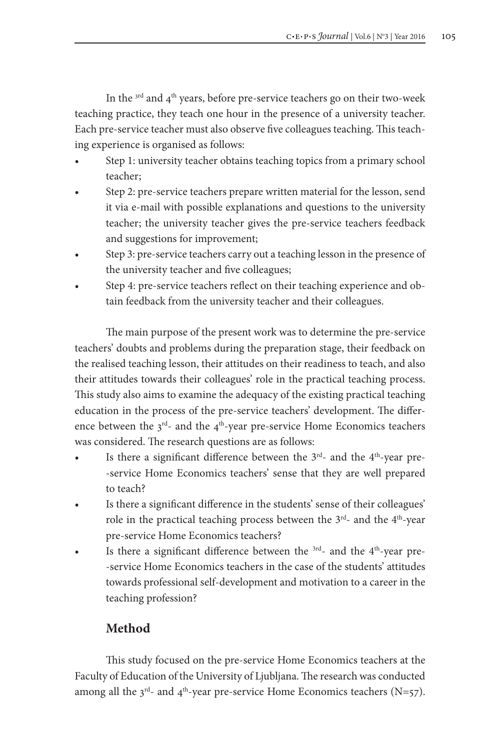In the  $3rd$  and  $4<sup>th</sup>$  years, before pre-service teachers go on their two-week teaching practice, they teach one hour in the presence of a university teacher. Each pre-service teacher must also observe five colleagues teaching. This teaching experience is organised as follows:

- Step 1: university teacher obtains teaching topics from a primary school teacher;
- Step 2: pre-service teachers prepare written material for the lesson, send it via e-mail with possible explanations and questions to the university teacher; the university teacher gives the pre-service teachers feedback and suggestions for improvement;
- Step 3: pre-service teachers carry out a teaching lesson in the presence of the university teacher and five colleagues;
- Step 4: pre-service teachers reflect on their teaching experience and obtain feedback from the university teacher and their colleagues.

The main purpose of the present work was to determine the pre-service teachers' doubts and problems during the preparation stage, their feedback on the realised teaching lesson, their attitudes on their readiness to teach, and also their attitudes towards their colleagues' role in the practical teaching process. This study also aims to examine the adequacy of the existing practical teaching education in the process of the pre-service teachers' development. The difference between the  $3^{rd}$ - and the  $4^{th}$ -year pre-service Home Economics teachers was considered. The research questions are as follows:

- Is there a significant difference between the  $3<sup>rd</sup>$  and the  $4<sup>th</sup>$ -year pre--service Home Economics teachers' sense that they are well prepared to teach?
- Is there a significant difference in the students' sense of their colleagues' role in the practical teaching process between the 3<sup>rd</sup>- and the 4<sup>th</sup>-year pre-service Home Economics teachers?
- Is there a significant difference between the  $3rd$  and the  $4<sup>th</sup>$ -year pre--service Home Economics teachers in the case of the students' attitudes towards professional self-development and motivation to a career in the teaching profession?

### **Method**

This study focused on the pre-service Home Economics teachers at the Faculty of Education of the University of Ljubljana. The research was conducted among all the  $3^{rd}$ - and  $4^{th}$ -year pre-service Home Economics teachers (N=57).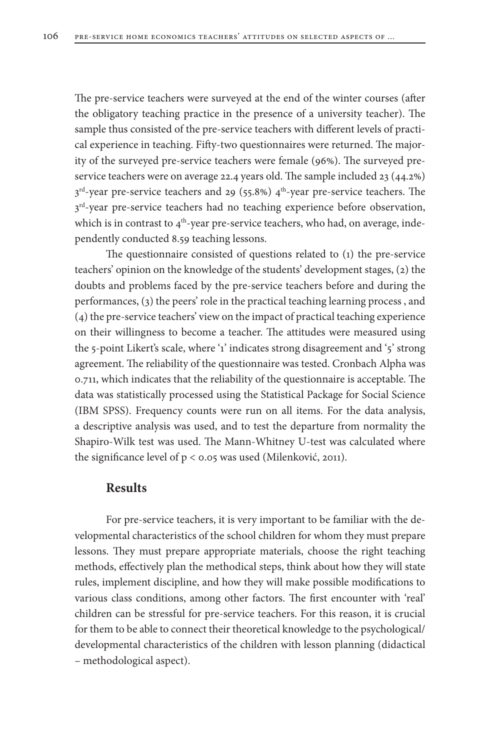The pre-service teachers were surveyed at the end of the winter courses (after the obligatory teaching practice in the presence of a university teacher). The sample thus consisted of the pre-service teachers with different levels of practical experience in teaching. Fifty-two questionnaires were returned. The majority of the surveyed pre-service teachers were female (96%). The surveyed preservice teachers were on average 22.4 years old. The sample included 23 (44.2%)  $3<sup>rd</sup>$ -year pre-service teachers and 29 (55.8%)  $4<sup>th</sup>$ -year pre-service teachers. The 3<sup>rd</sup>-year pre-service teachers had no teaching experience before observation, which is in contrast to  $4<sup>th</sup>$ -year pre-service teachers, who had, on average, independently conducted 8.59 teaching lessons.

The questionnaire consisted of questions related to (1) the pre-service teachers' opinion on the knowledge of the students' development stages, (2) the doubts and problems faced by the pre-service teachers before and during the performances, (3) the peers' role in the practical teaching learning process , and (4) the pre-service teachers' view on the impact of practical teaching experience on their willingness to become a teacher. The attitudes were measured using the 5-point Likert's scale, where '1' indicates strong disagreement and '5' strong agreement. The reliability of the questionnaire was tested. Cronbach Alpha was 0.711, which indicates that the reliability of the questionnaire is acceptable. The data was statistically processed using the Statistical Package for Social Science (IBM SPSS). Frequency counts were run on all items. For the data analysis, a descriptive analysis was used, and to test the departure from normality the Shapiro-Wilk test was used. The Mann-Whitney U-test was calculated where the significance level of p < 0.05 was used (Milenković, 2011).

#### **Results**

For pre-service teachers, it is very important to be familiar with the developmental characteristics of the school children for whom they must prepare lessons. They must prepare appropriate materials, choose the right teaching methods, effectively plan the methodical steps, think about how they will state rules, implement discipline, and how they will make possible modifications to various class conditions, among other factors. The first encounter with 'real' children can be stressful for pre-service teachers. For this reason, it is crucial for them to be able to connect their theoretical knowledge to the psychological/ developmental characteristics of the children with lesson planning (didactical – methodological aspect).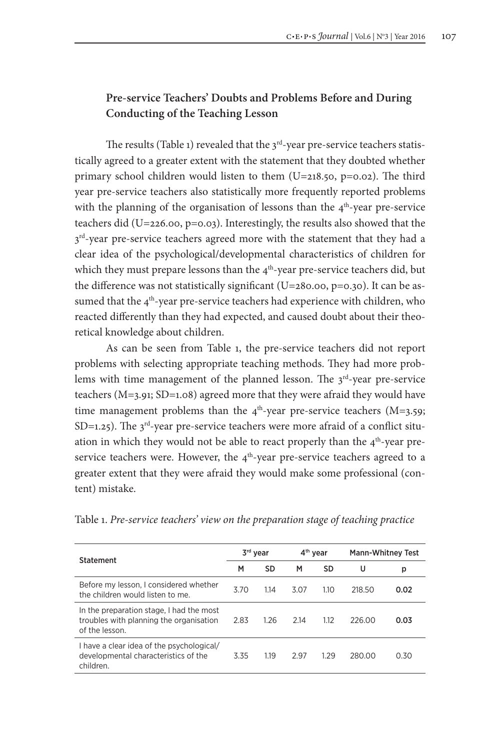# **Pre-service Teachers' Doubts and Problems Before and During Conducting of the Teaching Lesson**

The results (Table 1) revealed that the  $3<sup>rd</sup>$ -vear pre-service teachers statistically agreed to a greater extent with the statement that they doubted whether primary school children would listen to them (U=218.50, p=0.02). The third year pre-service teachers also statistically more frequently reported problems with the planning of the organisation of lessons than the 4<sup>th</sup>-year pre-service teachers did (U=226.00, p=0.03). Interestingly, the results also showed that the  $3<sup>rd</sup>$ -year pre-service teachers agreed more with the statement that they had a clear idea of the psychological/developmental characteristics of children for which they must prepare lessons than the 4<sup>th</sup>-year pre-service teachers did, but the difference was not statistically significant ( $U=280.00$ ,  $p=0.30$ ). It can be assumed that the  $4<sup>th</sup>$ -year pre-service teachers had experience with children, who reacted differently than they had expected, and caused doubt about their theoretical knowledge about children.

As can be seen from Table 1, the pre-service teachers did not report problems with selecting appropriate teaching methods. They had more problems with time management of the planned lesson. The  $3<sup>rd</sup>$ -year pre-service teachers (M=3.91; SD=1.08) agreed more that they were afraid they would have time management problems than the  $4<sup>th</sup>$ -year pre-service teachers (M=3.59; SD=1.25). The  $3^{rd}$ -year pre-service teachers were more afraid of a conflict situation in which they would not be able to react properly than the  $4<sup>th</sup>$ -year preservice teachers were. However, the  $4<sup>th</sup>$ -year pre-service teachers agreed to a greater extent that they were afraid they would make some professional (content) mistake.

| Statement                                                                                            | 3 <sup>rd</sup> year |      | 4 <sup>th</sup> year |      | <b>Mann-Whitney Test</b> |      |
|------------------------------------------------------------------------------------------------------|----------------------|------|----------------------|------|--------------------------|------|
|                                                                                                      | M                    | SD   | м                    | SD   | U                        | р    |
| Before my lesson, I considered whether<br>the children would listen to me                            | 3.70                 | 1.14 | 3.07                 | 1.10 | 218.50                   | 0.02 |
| In the preparation stage, I had the most<br>troubles with planning the organisation<br>of the lesson | 2.83                 | 1.26 | 214                  | 1.12 | 226.00                   | 0.03 |
| I have a clear idea of the psychological/<br>developmental characteristics of the<br>children.       | 3.35                 | 1.19 | 297                  | 129  | 280.00                   | 0.30 |

Table 1. *Pre-service teachers' view on the preparation stage of teaching practice*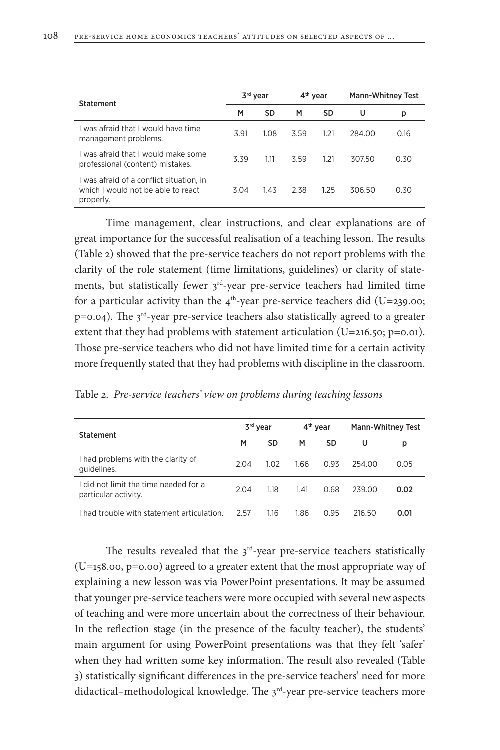| <b>Statement</b>                                                                            |      | 3 <sup>rd</sup> year |      | 4 <sup>th</sup> year | <b>Mann-Whitney Test</b> |      |
|---------------------------------------------------------------------------------------------|------|----------------------|------|----------------------|--------------------------|------|
|                                                                                             | M    | <b>SD</b>            | M    | SD                   | U                        | р    |
| I was afraid that I would have time<br>management problems.                                 | 391  | 1.08                 | 3.59 | 1.21                 | 284.00                   | 0.16 |
| I was afraid that I would make some<br>professional (content) mistakes.                     | 3.39 | 1.11                 | 3.59 | 1.21                 | 30750                    | 0.30 |
| I was afraid of a conflict situation, in<br>which I would not be able to react<br>properly. | 304  | 1.43                 | 2.38 | 125                  | 306.50                   | 0.30 |

Time management, clear instructions, and clear explanations are of great importance for the successful realisation of a teaching lesson. The results (Table 2) showed that the pre-service teachers do not report problems with the clarity of the role statement (time limitations, guidelines) or clarity of statements, but statistically fewer 3<sup>rd</sup>-year pre-service teachers had limited time for a particular activity than the  $4<sup>th</sup>$ -vear pre-service teachers did (U=239.00;  $p=0.04$ ). The  $3<sup>rd</sup>$ -year pre-service teachers also statistically agreed to a greater extent that they had problems with statement articulation (U=216.50; p=0.01). Those pre-service teachers who did not have limited time for a certain activity more frequently stated that they had problems with discipline in the classroom.

| Table 2. Pre-service teachers' view on problems during teaching lessons |  |  |  |
|-------------------------------------------------------------------------|--|--|--|
|-------------------------------------------------------------------------|--|--|--|

|                                                               |      | 3 <sup>rd</sup> year | $4th$ year |      | <b>Mann-Whitney Test</b> |      |
|---------------------------------------------------------------|------|----------------------|------------|------|--------------------------|------|
| Statement                                                     | м    | SD                   | M          | SD   | U                        | р    |
| I had problems with the clarity of<br>quidelines.             | 2.04 | 1.02                 | 166        | O 93 | 254.00                   | 0.05 |
| I did not limit the time needed for a<br>particular activity. | 2.04 | 1.18                 | 1.41       | 0.68 | 239.00                   | 0.02 |
| I had trouble with statement articulation                     | 2.57 | 1.16                 | 186        | O 95 | 216.50                   | 0.01 |

The results revealed that the  $3<sup>rd</sup>$ -year pre-service teachers statistically (U=158.00, p=0.00) agreed to a greater extent that the most appropriate way of explaining a new lesson was via PowerPoint presentations. It may be assumed that younger pre-service teachers were more occupied with several new aspects of teaching and were more uncertain about the correctness of their behaviour. In the reflection stage (in the presence of the faculty teacher), the students' main argument for using PowerPoint presentations was that they felt 'safer' when they had written some key information. The result also revealed (Table 3) statistically significant differences in the pre-service teachers' need for more didactical–methodological knowledge. The 3<sup>rd</sup>-year pre-service teachers more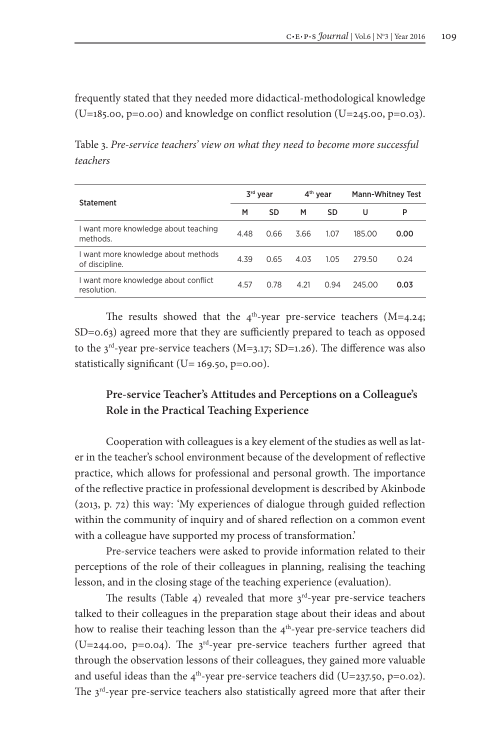frequently stated that they needed more didactical-methodological knowledge  $(U=185.00, p=0.00)$  and knowledge on conflict resolution  $(U=245.00, p=0.03)$ .

Table 3. *Pre-service teachers' view on what they need to become more successful teachers*

| Statement                                             |      | 3rd year |      | $4th$ year | <b>Mann-Whitney Test</b> |      |
|-------------------------------------------------------|------|----------|------|------------|--------------------------|------|
|                                                       | м    | SD       | м    | SD         | U                        | P    |
| I want more knowledge about teaching<br>methods.      | 4.48 | 0.66     | 3.66 | 1.07       | 185.00                   | 0.00 |
| I want more knowledge about methods<br>of discipline. | 4.39 | 0.65     | 4.03 | 1.05       | 279.50                   | 0.24 |
| I want more knowledge about conflict<br>resolution.   | 4.57 | 0.78     | 4.21 | 0.94       | 245.00                   | 0.03 |

The results showed that the  $4<sup>th</sup>$ -year pre-service teachers (M=4.24; SD=0.63) agreed more that they are sufficiently prepared to teach as opposed to the  $3<sup>rd</sup>$ -year pre-service teachers (M=3.17; SD=1.26). The difference was also statistically significant (U= 169.50, p=0.00).

## **Pre-service Teacher's Attitudes and Perceptions on a Colleague's Role in the Practical Teaching Experience**

Cooperation with colleagues is a key element of the studies as well as later in the teacher's school environment because of the development of reflective practice, which allows for professional and personal growth. The importance of the reflective practice in professional development is described by Akinbode (2013, p. 72) this way: 'My experiences of dialogue through guided reflection within the community of inquiry and of shared reflection on a common event with a colleague have supported my process of transformation.'

Pre-service teachers were asked to provide information related to their perceptions of the role of their colleagues in planning, realising the teaching lesson, and in the closing stage of the teaching experience (evaluation).

The results (Table 4) revealed that more  $3<sup>rd</sup>$ -year pre-service teachers talked to their colleagues in the preparation stage about their ideas and about how to realise their teaching lesson than the  $4<sup>th</sup>$ -year pre-service teachers did (U=244.00, p=0.04). The  $3<sup>rd</sup>$ -year pre-service teachers further agreed that through the observation lessons of their colleagues, they gained more valuable and useful ideas than the  $4<sup>th</sup>$ -year pre-service teachers did (U=237.50, p=0.02). The 3<sup>rd</sup>-year pre-service teachers also statistically agreed more that after their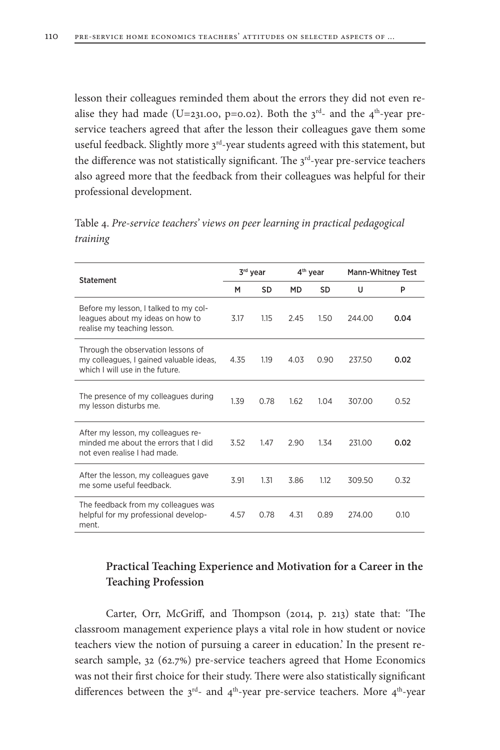lesson their colleagues reminded them about the errors they did not even realise they had made (U=231.00, p=0.02). Both the  $3^{rd}$ - and the  $4^{th}$ -year preservice teachers agreed that after the lesson their colleagues gave them some useful feedback. Slightly more 3<sup>rd</sup>-year students agreed with this statement, but the difference was not statistically significant. The  $3<sup>rd</sup>$ -year pre-service teachers also agreed more that the feedback from their colleagues was helpful for their professional development.

| <b>Statement</b>                                                                                                 |      | 3rd year |           | 4 <sup>th</sup> year | <b>Mann-Whitney Test</b> |      |
|------------------------------------------------------------------------------------------------------------------|------|----------|-----------|----------------------|--------------------------|------|
|                                                                                                                  | М    | SD       | <b>MD</b> | SD                   | U                        | P    |
| Before my lesson, I talked to my col-<br>leagues about my ideas on how to<br>realise my teaching lesson.         | 3.17 | 1.15     | 2.45      | 1.50                 | 244.00                   | 0.04 |
| Through the observation lessons of<br>my colleagues, I gained valuable ideas,<br>which I will use in the future. | 4.35 | 1.19     | 4.03      | 0.90                 | 237.50                   | 0.02 |
| The presence of my colleagues during<br>my lesson disturbs me.                                                   | 1.39 | 0.78     | 162       | 1.04                 | 30700                    | 0.52 |
| After my lesson, my colleagues re-<br>minded me about the errors that I did<br>not even realise I had made.      | 3.52 | 1.47     | 2.90      | 1.34                 | 231.00                   | 0.02 |
| After the lesson, my colleagues gave<br>me some useful feedback                                                  | 3.91 | 1.31     | 3.86      | 1.12                 | 309.50                   | 0.32 |
| The feedback from my colleagues was<br>helpful for my professional develop-<br>ment.                             | 4.57 | 0.78     | 4.31      | 0.89                 | 274.00                   | 0.10 |

Table 4. *Pre-service teachers' views on peer learning in practical pedagogical training*

## **Practical Teaching Experience and Motivation for a Career in the Teaching Profession**

Carter, Orr, McGriff, and Thompson (2014, p. 213) state that: 'The classroom management experience plays a vital role in how student or novice teachers view the notion of pursuing a career in education.' In the present research sample, 32 (62.7%) pre-service teachers agreed that Home Economics was not their first choice for their study. There were also statistically significant differences between the  $3^{rd}$ - and  $4^{th}$ -year pre-service teachers. More  $4^{th}$ -year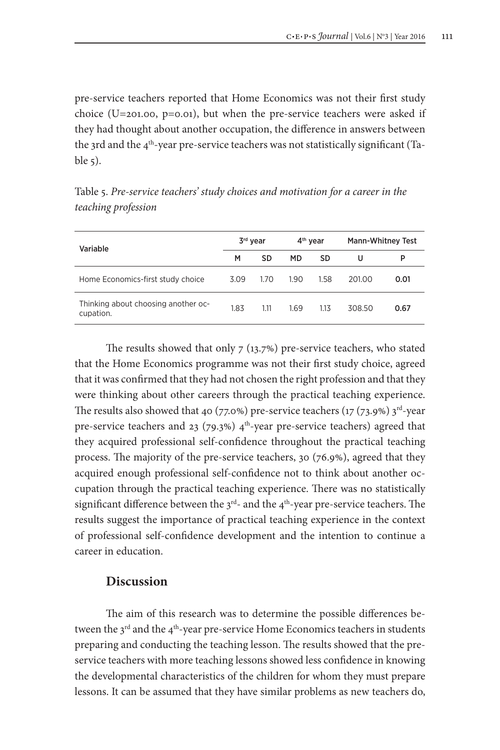pre-service teachers reported that Home Economics was not their first study choice (U=201.00, p=0.01), but when the pre-service teachers were asked if they had thought about another occupation, the difference in answers between the 3rd and the 4<sup>th</sup>-year pre-service teachers was not statistically significant (Table 5).

| Variable                                         |      | 3 <sup>rd</sup> year |           | 4 <sup>th</sup> vear | <b>Mann-Whitney Test</b> |      |
|--------------------------------------------------|------|----------------------|-----------|----------------------|--------------------------|------|
|                                                  | M    | SD                   | <b>MD</b> | SD                   | U                        | P    |
| Home Economics-first study choice                | 3.09 | 1 7 O                | 1.90      | 1.58                 | 201.00                   | 0.01 |
| Thinking about choosing another oc-<br>cupation. | 1.83 | 1.11                 | 169       | 1.13                 | 308.50                   | 0.67 |

Table 5. *Pre-service teachers' study choices and motivation for a career in the teaching profession*

The results showed that only  $7 \times 13.7\%$  pre-service teachers, who stated that the Home Economics programme was not their first study choice, agreed that it was confirmed that they had not chosen the right profession and that they were thinking about other careers through the practical teaching experience. The results also showed that 40 (77.0%) pre-service teachers (17 (73.9%)  $3^{rd}$ -year pre-service teachers and 23 (79.3%)  $4<sup>th</sup>$ -year pre-service teachers) agreed that they acquired professional self-confidence throughout the practical teaching process. The majority of the pre-service teachers, 30 (76.9%), agreed that they acquired enough professional self-confidence not to think about another occupation through the practical teaching experience. There was no statistically significant difference between the  $3<sup>rd</sup>$ - and the  $4<sup>th</sup>$ -year pre-service teachers. The results suggest the importance of practical teaching experience in the context of professional self-confidence development and the intention to continue a career in education.

### **Discussion**

The aim of this research was to determine the possible differences between the  $3<sup>rd</sup>$  and the  $4<sup>th</sup>$ -year pre-service Home Economics teachers in students preparing and conducting the teaching lesson. The results showed that the preservice teachers with more teaching lessons showed less confidence in knowing the developmental characteristics of the children for whom they must prepare lessons. It can be assumed that they have similar problems as new teachers do,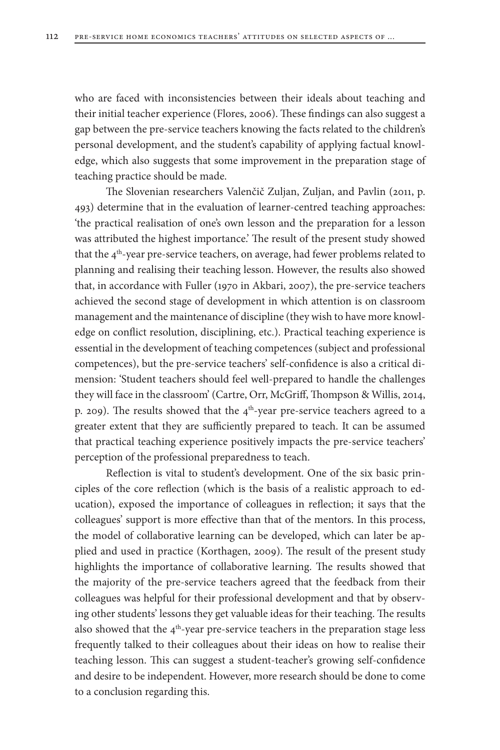who are faced with inconsistencies between their ideals about teaching and their initial teacher experience (Flores, 2006). These findings can also suggest a gap between the pre-service teachers knowing the facts related to the children's personal development, and the student's capability of applying factual knowledge, which also suggests that some improvement in the preparation stage of teaching practice should be made.

The Slovenian researchers Valenčič Zuljan, Zuljan, and Pavlin (2011, p. 493) determine that in the evaluation of learner-centred teaching approaches: 'the practical realisation of one's own lesson and the preparation for a lesson was attributed the highest importance.' The result of the present study showed that the 4<sup>th</sup>-year pre-service teachers, on average, had fewer problems related to planning and realising their teaching lesson. However, the results also showed that, in accordance with Fuller (1970 in Akbari, 2007), the pre-service teachers achieved the second stage of development in which attention is on classroom management and the maintenance of discipline (they wish to have more knowledge on conflict resolution, disciplining, etc.). Practical teaching experience is essential in the development of teaching competences (subject and professional competences), but the pre-service teachers' self-confidence is also a critical dimension: 'Student teachers should feel well-prepared to handle the challenges they will face in the classroom' (Cartre, Orr, McGriff, Thompson & Willis, 2014, p. 209). The results showed that the  $4<sup>th</sup>$ -year pre-service teachers agreed to a greater extent that they are sufficiently prepared to teach. It can be assumed that practical teaching experience positively impacts the pre-service teachers' perception of the professional preparedness to teach.

Reflection is vital to student's development. One of the six basic principles of the core reflection (which is the basis of a realistic approach to education), exposed the importance of colleagues in reflection; it says that the colleagues' support is more effective than that of the mentors. In this process, the model of collaborative learning can be developed, which can later be applied and used in practice (Korthagen, 2009). The result of the present study highlights the importance of collaborative learning. The results showed that the majority of the pre-service teachers agreed that the feedback from their colleagues was helpful for their professional development and that by observing other students' lessons they get valuable ideas for their teaching. The results also showed that the  $4<sup>th</sup>$ -year pre-service teachers in the preparation stage less frequently talked to their colleagues about their ideas on how to realise their teaching lesson. This can suggest a student-teacher's growing self-confidence and desire to be independent. However, more research should be done to come to a conclusion regarding this.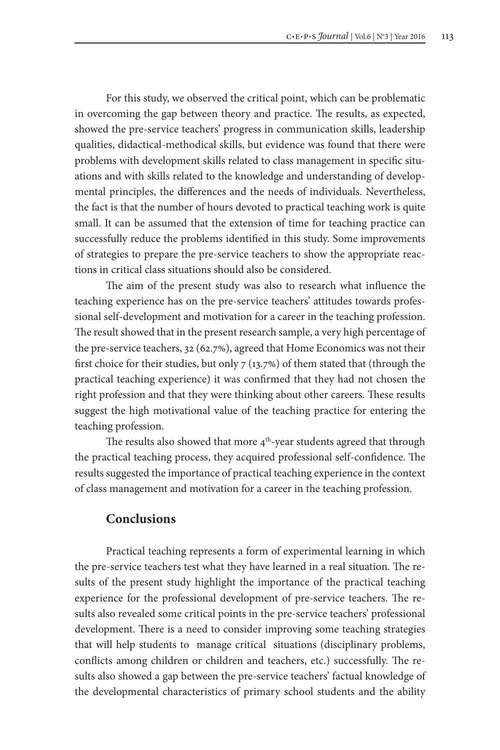For this study, we observed the critical point, which can be problematic in overcoming the gap between theory and practice. The results, as expected, showed the pre-service teachers' progress in communication skills, leadership qualities, didactical-methodical skills, but evidence was found that there were problems with development skills related to class management in specific situations and with skills related to the knowledge and understanding of developmental principles, the differences and the needs of individuals. Nevertheless, the fact is that the number of hours devoted to practical teaching work is quite small. It can be assumed that the extension of time for teaching practice can successfully reduce the problems identified in this study. Some improvements of strategies to prepare the pre-service teachers to show the appropriate reactions in critical class situations should also be considered.

The aim of the present study was also to research what influence the teaching experience has on the pre-service teachers' attitudes towards professional self-development and motivation for a career in the teaching profession. The result showed that in the present research sample, a very high percentage of the pre-service teachers, 32 (62.7%), agreed that Home Economics was not their first choice for their studies, but only  $7$  (13.7%) of them stated that (through the practical teaching experience) it was confirmed that they had not chosen the right profession and that they were thinking about other careers. These results suggest the high motivational value of the teaching practice for entering the teaching profession.

The results also showed that more  $4<sup>th</sup>$ -year students agreed that through the practical teaching process, they acquired professional self-confidence. The results suggested the importance of practical teaching experience in the context of class management and motivation for a career in the teaching profession.

#### **Conclusions**

Practical teaching represents a form of experimental learning in which the pre-service teachers test what they have learned in a real situation. The results of the present study highlight the importance of the practical teaching experience for the professional development of pre-service teachers. The results also revealed some critical points in the pre-service teachers' professional development. There is a need to consider improving some teaching strategies that will help students to manage critical situations (disciplinary problems, conflicts among children or children and teachers, etc.) successfully. The results also showed a gap between the pre-service teachers' factual knowledge of the developmental characteristics of primary school students and the ability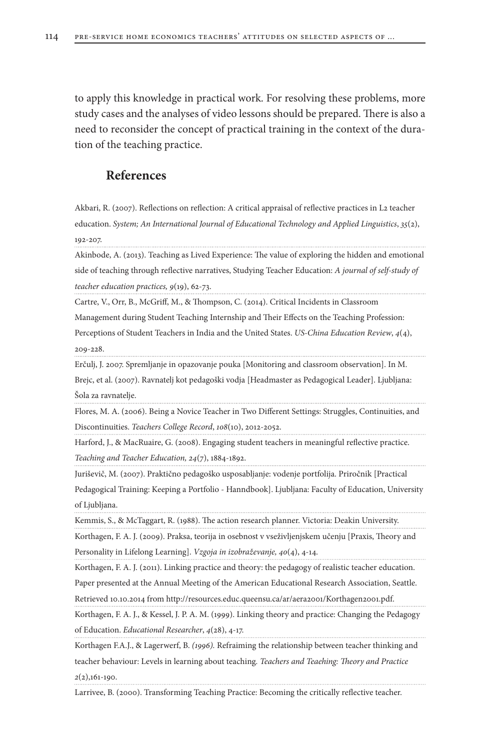to apply this knowledge in practical work. For resolving these problems, more study cases and the analyses of video lessons should be prepared. There is also a need to reconsider the concept of practical training in the context of the duration of the teaching practice.

## **References**

Akbari, R. (2007). Reflections on reflection: A critical appraisal of reflective practices in L2 teacher education. *System; An International Journal of Educational Technology and Applied Linguistics*, *35*(2), 192-207.

Akinbode, A. (2013). Teaching as Lived Experience: The value of exploring the hidden and emotional side of teaching through reflective narratives, Studying Teacher Education: *A journal of self-study of teacher education practices, 9*(19), 62-73.

Cartre, V., Orr, B., McGriff, M., & Thompson, C. (2014). Critical Incidents in Classroom Management during Student Teaching Internship and Their Effects on the Teaching Profession: Perceptions of Student Teachers in India and the United States. *US-China Education Review*, *4*(4), 209-228.

Erčulj, J. 2007. Spremljanje in opazovanje pouka [Monitoring and classroom observation]. In M. Brejc, et al. (2007). Ravnatelj kot pedagoški vodja [Headmaster as Pedagogical Leader]. Ljubljana: Šola za ravnatelje.

Flores, M. A. (2006). Being a Novice Teacher in Two Different Settings: Struggles, Continuities, and Discontinuities. *Teachers College Record*, *108*(10), 2012-2052.

Harford, J., & MacRuaire, G. (2008). Engaging student teachers in meaningful reflective practice. *Teaching and Teacher Education, 24*(7), 1884-1892.

Juriševič, M. (2007). Praktično pedagoško usposabljanje: vodenje portfolija. Priročnik [Practical

Pedagogical Training: Keeping a Portfolio - Hanndbook]. Ljubljana: Faculty of Education, University of Ljubljana.

Kemmis, S., & McTaggart, R. (1988). The action research planner. Victoria: Deakin University.

Korthagen, F. A. J. (2009). Praksa, teorija in osebnost v vseživljenjskem učenju [Praxis, Theory and Personality in Lifelong Learning]. *Vzgoja in izobraževanje, 40*(4), 4-14.

Korthagen, F. A. J. (2011). Linking practice and theory: the pedagogy of realistic teacher education. Paper presented at the Annual Meeting of the American Educational Research Association, Seattle. Retrieved 10.10.2014 from http://resources.educ.queensu.ca/ar/aera2001/Korthagen2001.pdf.

Korthagen, F. A. J., & Kessel, J. P. A. M. (1999). Linking theory and practice: Changing the Pedagogy of Education. *Educational Researcher*, *4*(28), 4-17.

Korthagen F.A.J., & Lagerwerf, B. *(1996).* Refraiming the relationship between teacher thinking and teacher behaviour: Levels in learning about teaching*. Teachers and Teaehing: Theory and Practice 2*(2),161-190.

Larrivee, B. (2000). Transforming Teaching Practice: Becoming the critically reflective teacher.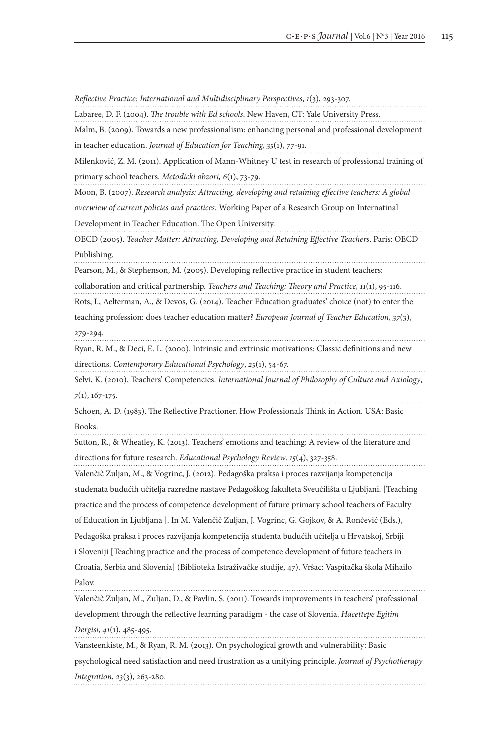*Reflective Practice: International and Multidisciplinary Perspectives*, *1*(3), 293-307.

Labaree, D. F. (2004). *The trouble with Ed schools*. New Haven, CT: Yale University Press.

Malm, B. (2009). Towards a new professionalism: enhancing personal and professional development in teacher education. *Journal of Education for Teaching, 35*(1), 77-91.

Milenković, Z. M. (2011). Application of Mann-Whitney U test in research of professional training of primary school teachers. *Metodicki obzori, 6*(1), 73-79.

Moon, B. (2007). *Research analysis: Attracting, developing and retaining effective teachers: A global overwiew of current policies and practices.* Working Paper of a Research Group on Internatinal Development in Teacher Education. The Open University.

OECD (2005). *Teacher Matter: Attracting, Developing and Retaining Effective Teachers*. Paris: OECD Publishing.

Pearson, M., & Stephenson, M. (2005). Developing reflective practice in student teachers:

collaboration and critical partnership. *Teachers and Teaching: Theory and Practice, 11*(1), 95-116. Rots, I., Aelterman, A., & Devos, G. (2014). Teacher Education graduates' choice (not) to enter the teaching profession: does teacher education matter? *European Journal of Teacher Education, 37*(3),

279-294.

Ryan, R. M., & Deci, E. L. (2000). Intrinsic and extrinsic motivations: Classic definitions and new directions. *Contemporary Educational Psychology*, *25*(1), 54-67.

Selvi, K. (2010). Teachers' Competencies. *International Journal of Philosophy of Culture and Axiology*, *7*(1), 167-175.

Schoen, A. D. (1983). The Reflective Practioner. How Professionals Think in Action. USA: Basic Books.

Sutton, R., & Wheatley, K. (2013). Teachers' emotions and teaching: A review of the literature and directions for future research. *Educational Psychology Review*. *15*(4), 327-358.

Valenčič Zuljan, M., & Vogrinc, J. (2012). Pedagoška praksa i proces razvijanja kompetencija studenata budućih učitelja razredne nastave Pedagoškog fakulteta Sveučilišta u Ljubljani. [Teaching practice and the process of competence development of future primary school teachers of Faculty of Education in Ljubljana ]. In M. Valenčič Zuljan, J. Vogrinc, G. Gojkov, & A. Rončević (Eds.), Pedagoška praksa i proces razvijanja kompetencija studenta budućih učitelja u Hrvatskoj, Srbiji i Sloveniji [Teaching practice and the process of competence development of future teachers in Croatia, Serbia and Slovenia] (Biblioteka Istraživačke studije, 47). Vršac: Vaspitačka škola Mihailo Palov.

Valenčič Zuljan, M., Zuljan, D., & Pavlin, S. (2011). Towards improvements in teachers' professional development through the reflective learning paradigm - the case of Slovenia. *Hacettepe Egitim Dergisi*, *41*(1), 485-495.

Vansteenkiste, M., & Ryan, R. M. (2013). On psychological growth and vulnerability: Basic psychological need satisfaction and need frustration as a unifying principle. *Journal of Psychotherapy Integration*, *23*(3), 263-280.